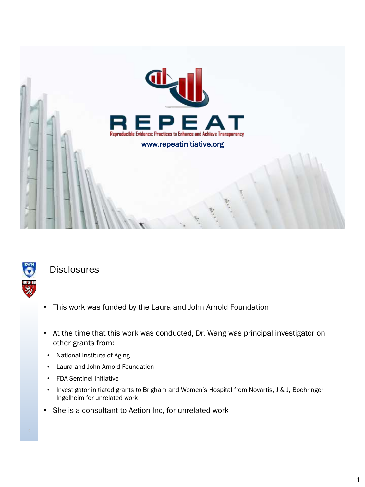



**Disclosures** 

- This work was funded by the Laura and John Arnold Foundation
- At the time that this work was conducted, Dr. Wang was principal investigator on other grants from:
- National Institute of Aging
- Laura and John Arnold Foundation
- FDA Sentinel Initiative
- Investigator initiated grants to Brigham and Women's Hospital from Novartis, J & J, Boehringer Ingelheim for unrelated work
- She is a consultant to Aetion Inc, for unrelated work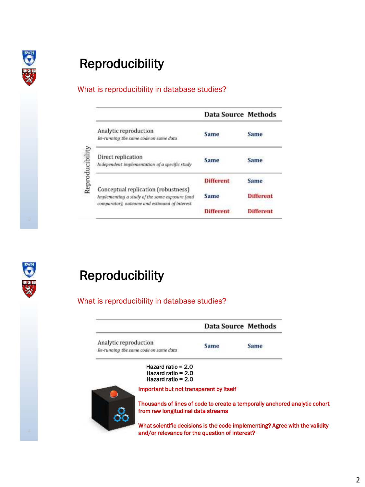

# Reproducibility

#### What is reproducibility in database studies?

|                                                                                                                                        | Data Source Methods |                  |
|----------------------------------------------------------------------------------------------------------------------------------------|---------------------|------------------|
| Analytic reproduction<br>Re-running the same code on same data                                                                         | <b>Same</b>         | Same             |
| Direct replication<br>Independent implementation of a specific study                                                                   | <b>Same</b>         | Same             |
|                                                                                                                                        | <b>Different</b>    | Same             |
| Conceptual replication (robustness)<br>Implementing a study of the same exposure (and<br>comparator), outcome and estimand of interest | Same                | <b>Different</b> |
|                                                                                                                                        | <b>Different</b>    | <b>Different</b> |



## Reproducibility

#### What is reproducibility in database studies?

|                                                                                                                  |                                                                      | Data Source Methods                                                         |             |  |
|------------------------------------------------------------------------------------------------------------------|----------------------------------------------------------------------|-----------------------------------------------------------------------------|-------------|--|
| Analytic reproduction<br>Re-running the same code on same data                                                   |                                                                      | <b>Same</b>                                                                 | <b>Same</b> |  |
|                                                                                                                  | Hazard ratio = $2.0$<br>Hazard ratio = $2.0$<br>Hazard ratio = $2.0$ |                                                                             |             |  |
|                                                                                                                  | Important but not transparent by itself                              |                                                                             |             |  |
| Thousands of lines of code to create a temporally anchored analytic cohort<br>from raw longitudinal data streams |                                                                      |                                                                             |             |  |
|                                                                                                                  |                                                                      | What scientific decisions is the code implementing? Agree with the validity |             |  |

e with the validity and/or relevance for the question of interest?

2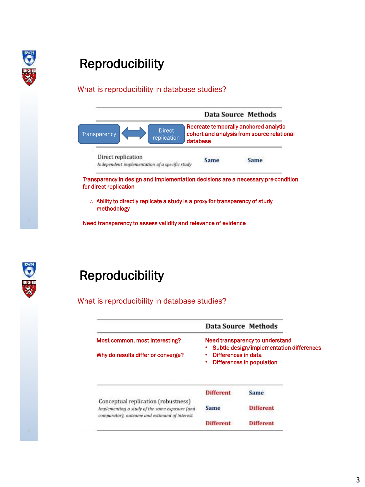

# Reproducibility

#### What is reproducibility in database studies?



methodology

Need transparency to assess validity and relevance of evidence



## Reproducibility

What is reproducibility in database studies?

|                                                                                                                                        | <b>Data Source Methods</b>                                                                                                      |                  |
|----------------------------------------------------------------------------------------------------------------------------------------|---------------------------------------------------------------------------------------------------------------------------------|------------------|
| Most common, most interesting?                                                                                                         | Need transparency to understand<br>Subtle design/implementation differences<br>Differences in data<br>Differences in population |                  |
| Why do results differ or converge?                                                                                                     |                                                                                                                                 |                  |
|                                                                                                                                        |                                                                                                                                 |                  |
|                                                                                                                                        | Different                                                                                                                       | Same             |
| Conceptual replication (robustness)<br>Implementing a study of the same exposure (and<br>comparator), outcome and estimand of interest | Same                                                                                                                            | <b>Different</b> |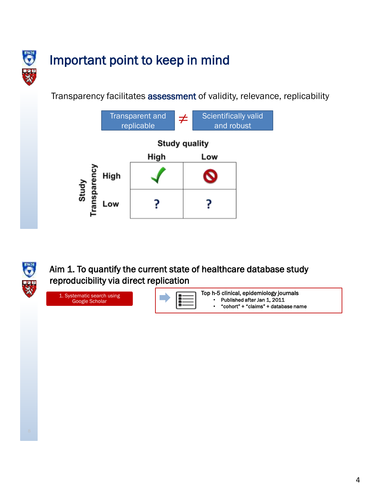

# Important point to keep in mind

Transparency facilitates assessment of validity, relevance, replicability





Aim 1. To quantify the current state of healthcare database study reproducibility via direct replication

1. Systematic search using Google Scholar

Top h-5 clinical, epidemiology journals Published after Jan 1, 2011

• "cohort" + "claims" + database name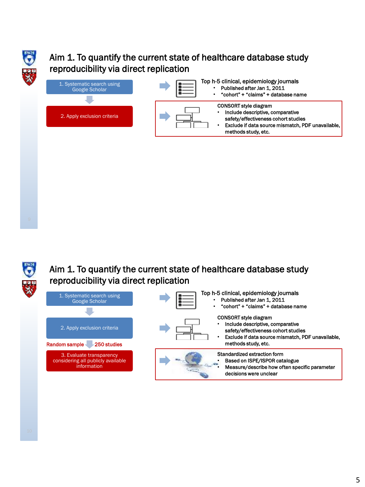

## Aim 1. To quantify the current state of healthcare database study reproducibility via direct replication

| 1. Systematic search using<br><b>Google Scholar</b> | Top h-5 clinical, epidemiology journals<br>Published after Jan 1, 2011<br>"cohort" + "claims" + database name                                                |
|-----------------------------------------------------|--------------------------------------------------------------------------------------------------------------------------------------------------------------|
| 2. Apply exclusion criteria                         | <b>CONSORT style diagram</b><br>Include descriptive, comparative<br>safety/effectiveness cohort studies<br>Exclude if data source mismatch, PDF unavailable, |
|                                                     | methods study, etc.                                                                                                                                          |



### Aim 1. To quantify the current state of healthcare database study reproducibility via direct replication





CONSORT style diagram

- Include descriptive, comparative safety/effectiveness cohort studies
- Exclude if data source mismatch, PDF unavailable, methods study, etc.

#### Standardized extraction form

Top h-5 clinical, epidemiology journals Published after Jan 1, 2011 • "cohort" + "claims" + database name



• Measure/describe how often specific parameter decisions were unclear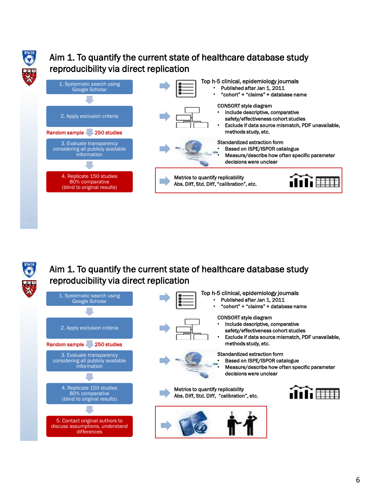

## Aim 1. To quantify the current state of healthcare database study reproducibility via direct replication

| 1. Systematic search using<br>Google Scholar                                                                    | Top h-5 clinical, epidemiology journals<br>Published after Jan 1, 2011<br>"cohort" + "claims" + database name                                                |
|-----------------------------------------------------------------------------------------------------------------|--------------------------------------------------------------------------------------------------------------------------------------------------------------|
| 2. Apply exclusion criteria                                                                                     | <b>CONSORT style diagram</b><br>Include descriptive, comparative<br>safety/effectiveness cohort studies<br>Exclude if data source mismatch, PDF unavailable, |
| Random sample-<br>-250 studies<br>3. Evaluate transparency<br>considering all publicly available<br>information | methods study, etc.<br>Standardized extraction form<br>Based on ISPE/ISPOR catalogue<br>Measure/describe how often specific parameter                        |
| 4. Replicate 150 studies<br>80% comparative<br>(blind to original results)                                      | decisions were unclear<br>Metrics to quantify replicability<br>Abs. Diff, Std. Diff, "calibration", etc.                                                     |
|                                                                                                                 |                                                                                                                                                              |



#### Aim 1. To quantify the current state of healthcare database study reproducibility via direct replication



- Top h-5 clinical, epidemiology journals Published after Jan 1, 2011
	- "cohort" + "claims" + database name



#### CONSORT style diagram

- Include descriptive, comparative safety/effectiveness cohort studies
- Exclude if data source mismatch, PDF unavailable, methods study, etc.



• Based on ISPE/ISPOR catalogue

Standardized extraction form

• Measure/describe how often specific parameter decisions were unclear





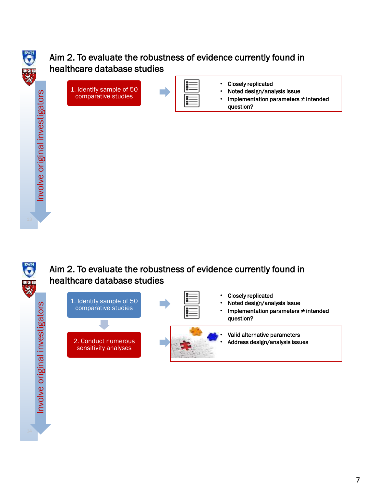## Aim 2. To evaluate the robustness of evidence currently found in healthcare database studies



- Closely replicated
- Noted design/analysis issue
- Implementation parameters ≠ intended question?



Involve original investigators

Involve original investigators

### Aim 2. To evaluate the robustness of evidence currently found in healthcare database studies





- Closely replicated • Noted design/analysis issue
- Implementation parameters ≠ intended question?

• Valid alternative parameters • Address design/analysis issues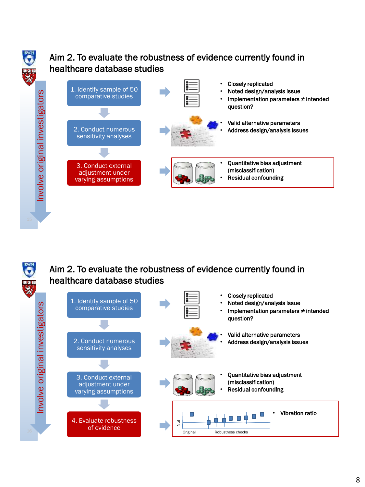



#### Aim 2. To evaluate the robustness of evidence currently found in healthcare database studies

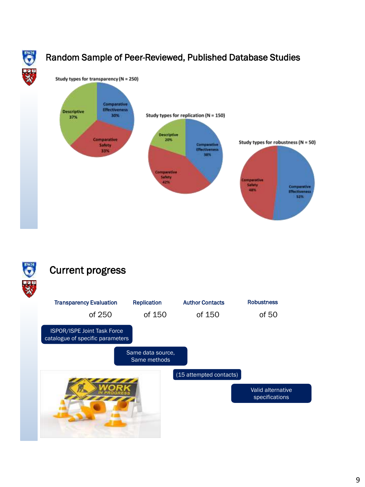

## Random Sample of Peer-Reviewed, Published Database Studies





## Current progress

| <b>Transparency Evaluation</b><br>of 250                        | <b>Replication</b><br>of 150      | <b>Author Contacts</b><br>of 150 | <b>Robustness</b><br>of 50 |
|-----------------------------------------------------------------|-----------------------------------|----------------------------------|----------------------------|
| ISPOR/ISPE Joint Task Force<br>catalogue of specific parameters |                                   |                                  |                            |
|                                                                 | Same data source,<br>Same methods |                                  |                            |
|                                                                 |                                   | (15 attempted contacts)          | Valid alternative          |
|                                                                 |                                   |                                  | specifications             |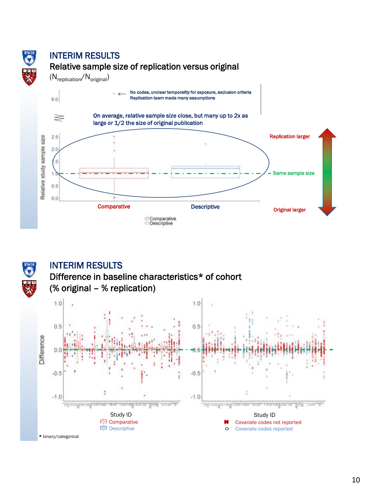



#### INTERIM RESULTS



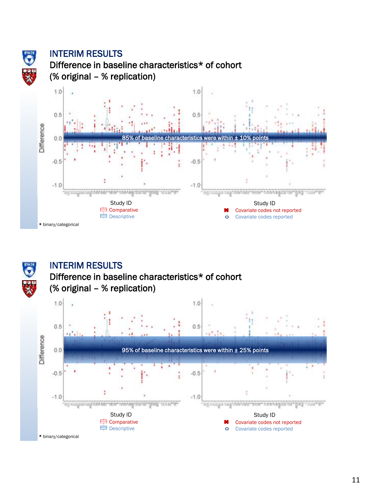

#### INTERIM RESULTS

Difference in baseline characteristics\* of cohort (% original – % replication)





#### INTERIM RESULTS

#### Difference in baseline characteristics\* of cohort (% original – % replication)

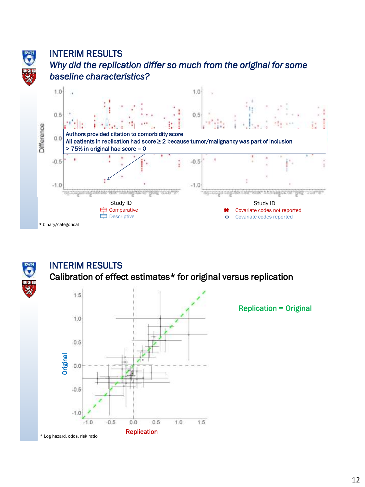

### INTERIM RESULTS *Why did the replication differ so much from the original for some baseline characteristics?*





### INTERIM RESULTS

Calibration of effect estimates\* for original versus replication



Replication = Original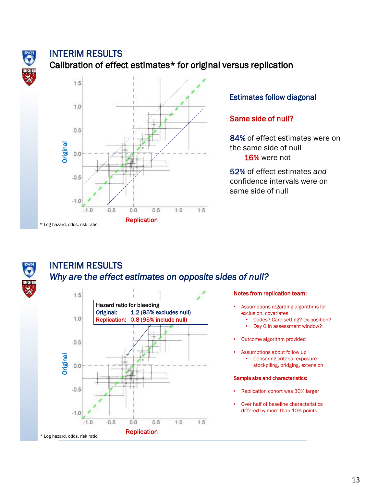

#### INTERIM RESULTS

#### Calibration of effect estimates\* for original versus replication



#### Estimates follow diagonal

#### Same side of null?

84% of effect estimates were on the same side of null 16% were not

52% of effect estimates *and*  confidence intervals were on same side of null



#### INTERIM RESULTS *Why are the effect estimates on opposite sides of null?*





- Assumptions regarding algorithms for exclusion, covariates
	- Codes? Care setting? Dx position?
	- Day 0 in assessment window?
- Outcome algorithm provided
- Assumptions about follow up • Censoring criteria, exposure stockpiling, bridging, extension

#### Sample size and characteristics:

- Replication cohort was 30% larger
- Over half of baseline characteristics differed by more than 10% points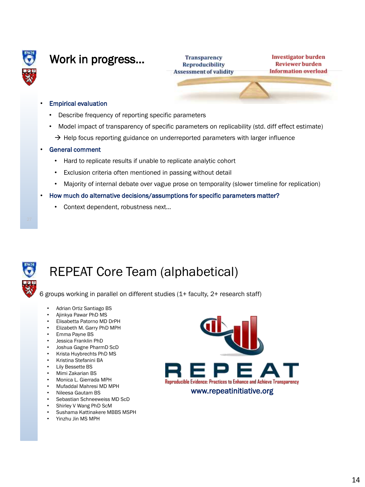

## Work in progress…

**Transparency Reproducibility Assessment of validity** 

**Investigator burden Reviewer burden Information** overload

#### • Empirical evaluation

- Describe frequency of reporting specific parameters
- Model impact of transparency of specific parameters on replicability (std. diff effect estimate)
- $\rightarrow$  Help focus reporting guidance on underreported parameters with larger influence

#### • General comment

- Hard to replicate results if unable to replicate analytic cohort
- Exclusion criteria often mentioned in passing without detail
- Majority of internal debate over vague prose on temporality (slower timeline for replication)
- How much do alternative decisions/assumptions for specific parameters matter?
	- Context dependent, robustness next...



# REPEAT Core Team (alphabetical)

6 groups working in parallel on different studies (1+ faculty, 2+ research staff)

- Adrian Ortiz Santiago BS
- Ajinkya Pawar PhD MS
- Elisabetta Patorno MD DrPH
- Elizabeth M. Garry PhD MPH
- Emma Payne BS
- Jessica Franklin PhD
- Joshua Gagne PharmD ScD
- Krista Huybrechts PhD MS
- Kristina Stefanini BA
- **Lily Bessette BS**
- Mimi Zakarian BS
- Monica L. Gierrada MPH
- Mufaddal Mahresi MD MPH
- Nileesa Gautam BS
- Sebastian Schneeweiss MD ScD
- Shirley V Wang PhD ScM
- Sushama Kattinakere MBBS MSPH
- Yinzhu Jin MS MPH